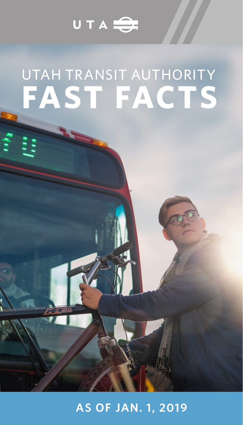

## UTAH TRANSIT AUTHORITY **FAST FACTS**

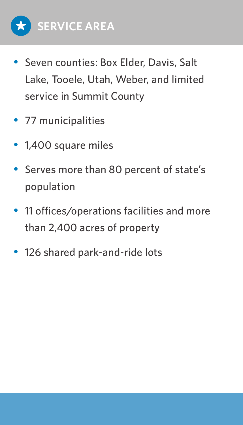

- Seven counties: Box Elder, Davis, Salt Lake, Tooele, Utah, Weber, and limited service in Summit County
- 77 municipalities
- 1,400 square miles
- Serves more than 80 percent of state's population
- 11 offices/operations facilities and more than 2,400 acres of property
- 126 shared park-and-ride lots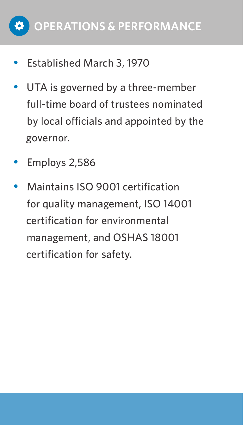$\bullet$  OPERATIONS & PERFORMANCE

- Established March 3, 1970
- UTA is governed by a three-member full-time board of trustees nominated by local officials and appointed by the governor.
- Employs 2,586
- Maintains ISO 9001 certification for quality management, ISO 14001 certification for environmental management, and OSHAS 18001 certification for safety.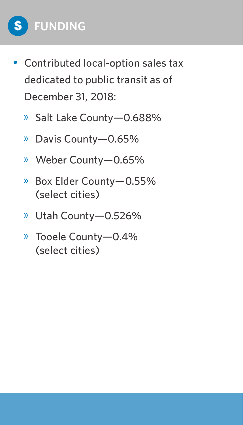

's

- Contributed local-option sales tax dedicated to public transit as of December 31, 2018:
	- » Salt Lake County—0.688%
	- » Davis County—0.65%
	- » Weber County—0.65%
	- » Box Elder County—0.55% (select cities)
	- » Utah County—0.526%
	- » Tooele County—0.4% (select cities)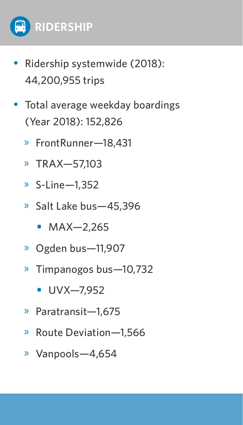

- Ridership systemwide (2018): 44,200,955 trips
- Total average weekday boardings (Year 2018): 152,826
	- » FrontRunner—18,431
	- » TRAX—57,103
	- » S-Line—1,352
	- » Salt Lake bus—45,396
		- **•** MAX—2,265
	- » Ogden bus—11,907
	- » Timpanogos bus—10,732
		- **•** UVX—7,952
	- » Paratransit—1,675
	- » Route Deviation—1,566
	- » Vanpools—4,654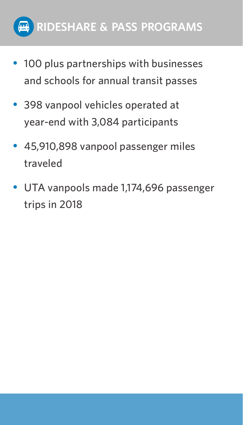

- 100 plus partnerships with businesses and schools for annual transit passes
- 398 vanpool vehicles operated at year-end with 3,084 participants
- 45,910,898 vanpool passenger miles traveled
- UTA vanpools made 1,174,696 passenger trips in 2018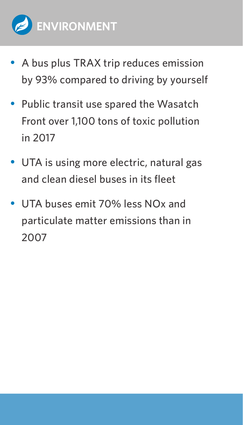

- A bus plus TRAX trip reduces emission by 93% compared to driving by yourself
- Public transit use spared the Wasatch Front over 1,100 tons of toxic pollution in 2017
- UTA is using more electric, natural gas and clean diesel buses in its fleet
- UTA buses emit 70% less NOx and particulate matter emissions than in 2007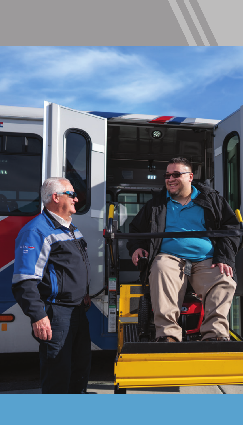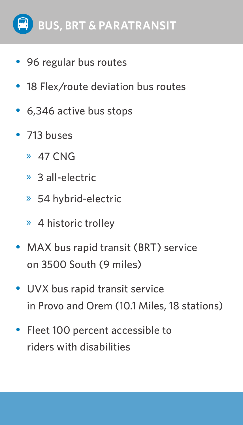

- 96 regular bus routes
- 18 Flex/route deviation bus routes
- 6,346 active bus stops
- 713 buses
	- » 47 CNG
	- » 3 all-electric
	- » 54 hybrid-electric
	- » 4 historic trolley
- MAX bus rapid transit (BRT) service on 3500 South (9 miles)
- UVX bus rapid transit service in Provo and Orem (10.1 Miles, 18 stations)
- Fleet 100 percent accessible to riders with disabilities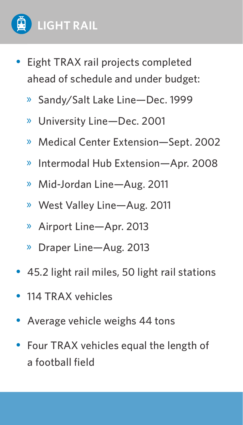

- Eight TRAX rail projects completed ahead of schedule and under budget:
	- » Sandy/Salt Lake Line—Dec. 1999
	- » University Line—Dec. 2001
	- » Medical Center Extension—Sept. 2002
	- » Intermodal Hub Extension—Apr. 2008
	- » Mid-Jordan Line—Aug. 2011
	- » West Valley Line—Aug. 2011
	- » Airport Line—Apr. 2013
	- » Draper Line—Aug. 2013
- 45.2 light rail miles, 50 light rail stations
- 114 TRAX vehicles
- Average vehicle weighs 44 tons
- Four TRAX vehicles equal the length of a football field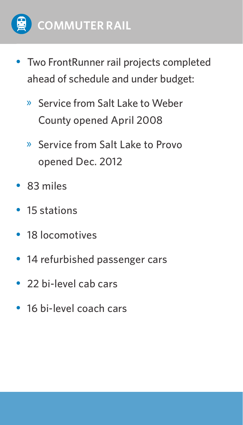

- Two FrontRunner rail projects completed ahead of schedule and under budget:
	- » Service from Salt Lake to Weber County opened April 2008
	- » Service from Salt Lake to Provo opened Dec. 2012
- 83 miles
- 15 stations
- 18 locomotives
- 14 refurbished passenger cars
- 22 bi-level cab cars
- 16 bi-level coach cars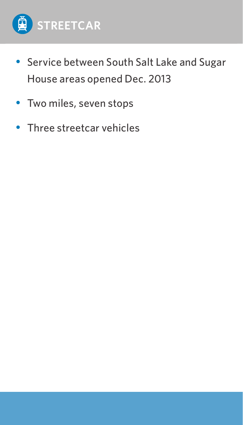

- Service between South Salt Lake and Sugar House areas opened Dec. 2013
- Two miles, seven stops
- Three streetcar vehicles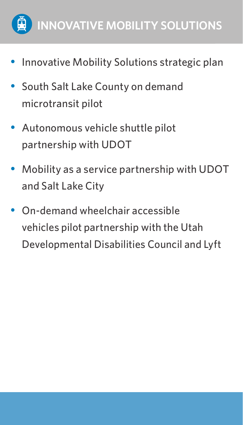

- Innovative Mobility Solutions strategic plan
- South Salt Lake County on demand microtransit pilot
- Autonomous vehicle shuttle pilot partnership with UDOT
- Mobility as a service partnership with UDOT and Salt Lake City
- On-demand wheelchair accessible vehicles pilot partnership with the Utah Developmental Disabilities Council and Lyft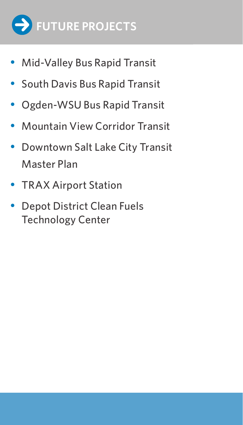

- Mid-Valley Bus Rapid Transit
- South Davis Bus Rapid Transit
- Ogden-WSU Bus Rapid Transit
- Mountain View Corridor Transit
- Downtown Salt Lake City Transit Master Plan
- TRAX Airport Station
- Depot District Clean Fuels Technology Center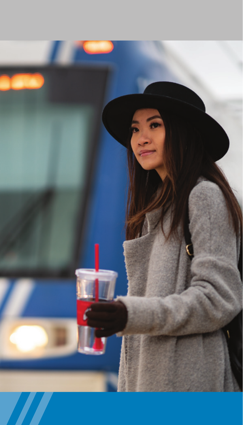